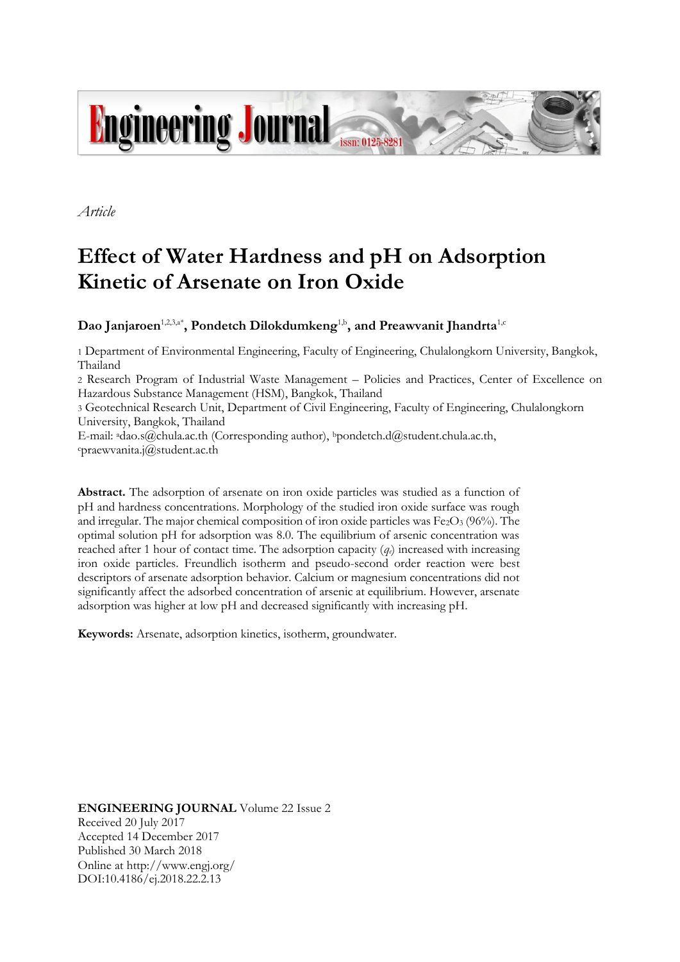

*Article*

# **Effect of Water Hardness and pH on Adsorption Kinetic of Arsenate on Iron Oxide**

Dao Janjaroen<sup>1,2,3,a\*</sup>, Pondetch Dilokdumkeng<sup>1,b</sup>, and Preawvanit Jhandrta<sup>1,c</sup>

1 Department of Environmental Engineering, Faculty of Engineering, Chulalongkorn University, Bangkok, Thailand

2 Research Program of Industrial Waste Management – Policies and Practices, Center of Excellence on Hazardous Substance Management (HSM), Bangkok, Thailand

3 Geotechnical Research Unit, Department of Civil Engineering, Faculty of Engineering, Chulalongkorn University, Bangkok, Thailand

E-mail: adao.s@chula.ac.th (Corresponding author), bpondetch.d@student.chula.ac.th, <sup>c</sup>praewvanita.j@student.ac.th

**Abstract.** The adsorption of arsenate on iron oxide particles was studied as a function of pH and hardness concentrations. Morphology of the studied iron oxide surface was rough and irregular. The major chemical composition of iron oxide particles was  $Fe<sub>2</sub>O<sub>3</sub>$  (96%). The optimal solution pH for adsorption was 8.0. The equilibrium of arsenic concentration was reached after 1 hour of contact time. The adsorption capacity (*qe*) increased with increasing iron oxide particles. Freundlich isotherm and pseudo-second order reaction were best descriptors of arsenate adsorption behavior. Calcium or magnesium concentrations did not significantly affect the adsorbed concentration of arsenic at equilibrium. However, arsenate adsorption was higher at low pH and decreased significantly with increasing pH.

**Keywords:** Arsenate, adsorption kinetics, isotherm, groundwater.

**ENGINEERING JOURNAL** Volume 22 Issue 2 Received 20 July 2017 Accepted 14 December 2017 Published 30 March 2018 Online at http://www.engj.org/ DOI:10.4186/ej.2018.22.2.13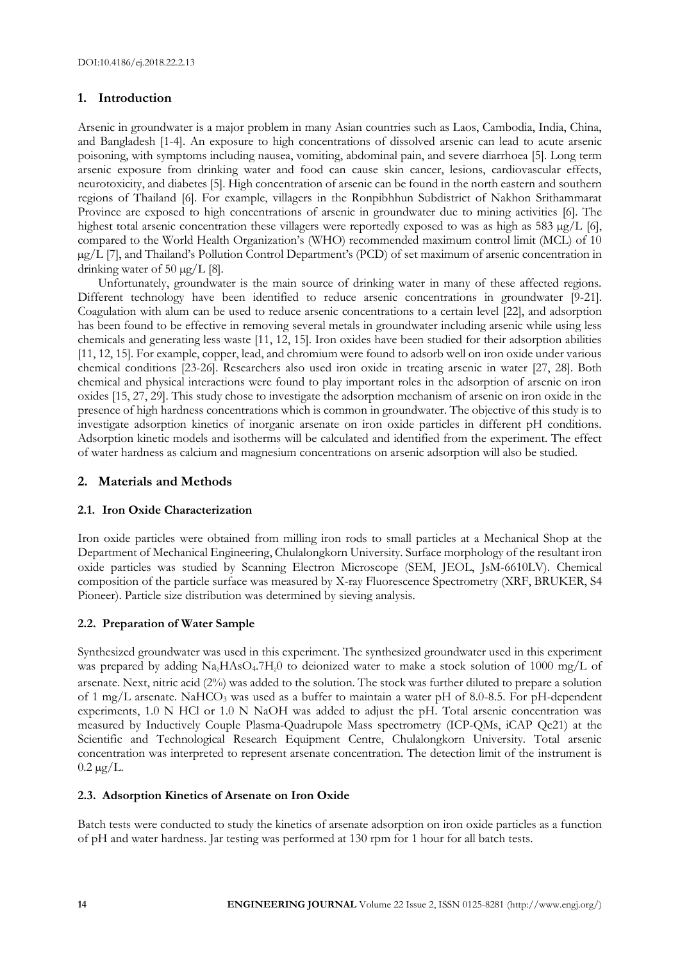# **1. Introduction**

Arsenic in groundwater is a major problem in many Asian countries such as Laos, Cambodia, India, China, and Bangladesh [1-4]. An exposure to high concentrations of dissolved arsenic can lead to acute arsenic poisoning, with symptoms including nausea, vomiting, abdominal pain, and severe diarrhoea [5]. Long term arsenic exposure from drinking water and food can cause skin cancer, lesions, cardiovascular effects, neurotoxicity, and diabetes [5]. High concentration of arsenic can be found in the north eastern and southern regions of Thailand [6]. For example, villagers in the Ronpibhhun Subdistrict of Nakhon Srithammarat Province are exposed to high concentrations of arsenic in groundwater due to mining activities [6]. The highest total arsenic concentration these villagers were reportedly exposed to was as high as 583 µg/L [6], compared to the World Health Organization's (WHO) recommended maximum control limit (MCL) of 10 µg/L [7], and Thailand's Pollution Control Department's (PCD) of set maximum of arsenic concentration in drinking water of 50  $\mu$ g/L [8].

Unfortunately, groundwater is the main source of drinking water in many of these affected regions. Different technology have been identified to reduce arsenic concentrations in groundwater [9-21]. Coagulation with alum can be used to reduce arsenic concentrations to a certain level [22], and adsorption has been found to be effective in removing several metals in groundwater including arsenic while using less chemicals and generating less waste [11, 12, 15]. Iron oxides have been studied for their adsorption abilities [11, 12, 15]. For example, copper, lead, and chromium were found to adsorb well on iron oxide under various chemical conditions [23-26]. Researchers also used iron oxide in treating arsenic in water [27, 28]. Both chemical and physical interactions were found to play important roles in the adsorption of arsenic on iron oxides [15, 27, 29]. This study chose to investigate the adsorption mechanism of arsenic on iron oxide in the presence of high hardness concentrations which is common in groundwater. The objective of this study is to investigate adsorption kinetics of inorganic arsenate on iron oxide particles in different pH conditions. Adsorption kinetic models and isotherms will be calculated and identified from the experiment. The effect of water hardness as calcium and magnesium concentrations on arsenic adsorption will also be studied.

# **2. Materials and Methods**

# **2.1. Iron Oxide Characterization**

Iron oxide particles were obtained from milling iron rods to small particles at a Mechanical Shop at the Department of Mechanical Engineering, Chulalongkorn University. Surface morphology of the resultant iron oxide particles was studied by Scanning Electron Microscope (SEM, JEOL, JsM-6610LV). Chemical composition of the particle surface was measured by X-ray Fluorescence Spectrometry (XRF, BRUKER, S4 Pioneer). Particle size distribution was determined by sieving analysis.

# **2.2. Preparation of Water Sample**

Synthesized groundwater was used in this experiment. The synthesized groundwater used in this experiment was prepared by adding Na<sub>2</sub>HAsO<sub>4</sub>.7H<sub>2</sub>0 to deionized water to make a stock solution of 1000 mg/L of arsenate. Next, nitric acid (2%) was added to the solution. The stock was further diluted to prepare a solution of 1 mg/L arsenate. NaHCO<sub>3</sub> was used as a buffer to maintain a water pH of 8.0-8.5. For pH-dependent experiments, 1.0 N HCl or 1.0 N NaOH was added to adjust the pH. Total arsenic concentration was measured by Inductively Couple Plasma-Quadrupole Mass spectrometry (ICP-QMs, iCAP Qc21) at the Scientific and Technological Research Equipment Centre, Chulalongkorn University. Total arsenic concentration was interpreted to represent arsenate concentration. The detection limit of the instrument is  $0.2 \mu g/L$ .

# **2.3. Adsorption Kinetics of Arsenate on Iron Oxide**

Batch tests were conducted to study the kinetics of arsenate adsorption on iron oxide particles as a function of pH and water hardness. Jar testing was performed at 130 rpm for 1 hour for all batch tests.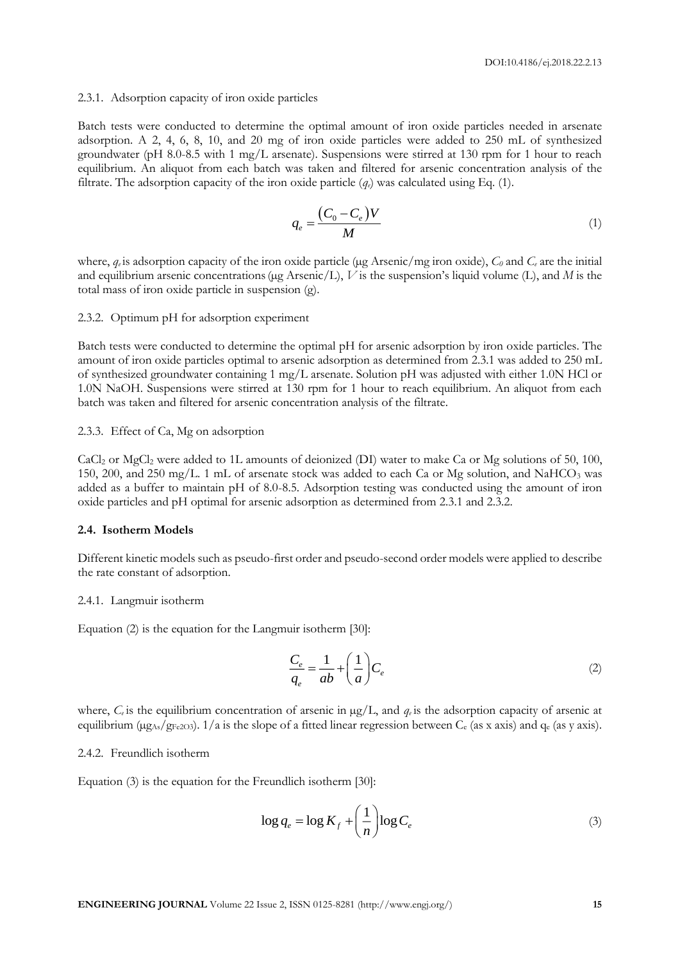#### 2.3.1. Adsorption capacity of iron oxide particles

Batch tests were conducted to determine the optimal amount of iron oxide particles needed in arsenate adsorption. A 2, 4, 6, 8, 10, and 20 mg of iron oxide particles were added to 250 mL of synthesized groundwater (pH 8.0-8.5 with 1 mg/L arsenate). Suspensions were stirred at 130 rpm for 1 hour to reach equilibrium. An aliquot from each batch was taken and filtered for arsenic concentration analysis of the filtrate. The adsorption capacity of the iron oxide particle  $(q_e)$  was calculated using Eq. (1).

$$
q_e = \frac{(C_0 - C_e)V}{M} \tag{1}
$$

where,  $q_e$  is adsorption capacity of the iron oxide particle ( $\mu$ g Arsenic/mg iron oxide),  $C_0$  and  $C_e$  are the initial and equilibrium arsenic concentrations ( $\mu$ g Arsenic/L), *V* is the suspension's liquid volume (L), and *M* is the total mass of iron oxide particle in suspension (g).

## 2.3.2. Optimum pH for adsorption experiment

Batch tests were conducted to determine the optimal pH for arsenic adsorption by iron oxide particles. The amount of iron oxide particles optimal to arsenic adsorption as determined from 2.3.1 was added to 250 mL of synthesized groundwater containing 1 mg/L arsenate. Solution pH was adjusted with either 1.0N HCl or 1.0N NaOH. Suspensions were stirred at 130 rpm for 1 hour to reach equilibrium. An aliquot from each batch was taken and filtered for arsenic concentration analysis of the filtrate.

## 2.3.3. Effect of Ca, Mg on adsorption

CaCl<sup>2</sup> or MgCl<sup>2</sup> were added to 1L amounts of deionized (DI) water to make Ca or Mg solutions of 50, 100, 150, 200, and 250 mg/L. 1 mL of arsenate stock was added to each Ca or Mg solution, and NaHCO<sub>3</sub> was added as a buffer to maintain pH of 8.0-8.5. Adsorption testing was conducted using the amount of iron oxide particles and pH optimal for arsenic adsorption as determined from 2.3.1 and 2.3.2.

## **2.4. Isotherm Models**

Different kinetic models such as pseudo-first order and pseudo-second order models were applied to describe the rate constant of adsorption.

#### 2.4.1. Langmuir isotherm

Equation (2) is the equation for the Langmuir isotherm [30]:

$$
\frac{C_e}{q_e} = \frac{1}{ab} + \left(\frac{1}{a}\right)C_e\tag{2}
$$

where,  $C_e$  is the equilibrium concentration of arsenic in  $\mu g/L$ , and  $q_e$  is the adsorption capacity of arsenic at equilibrium ( $\mu$ g<sub>As</sub>/g<sub>Fe2O3</sub>). 1/a is the slope of a fitted linear regression between C<sub>e</sub> (as x axis) and q<sub>e</sub> (as y axis).

#### 2.4.2. Freundlich isotherm

Equation (3) is the equation for the Freundlich isotherm [30]:

$$
\log q_e = \log K_f + \left(\frac{1}{n}\right) \log C_e \tag{3}
$$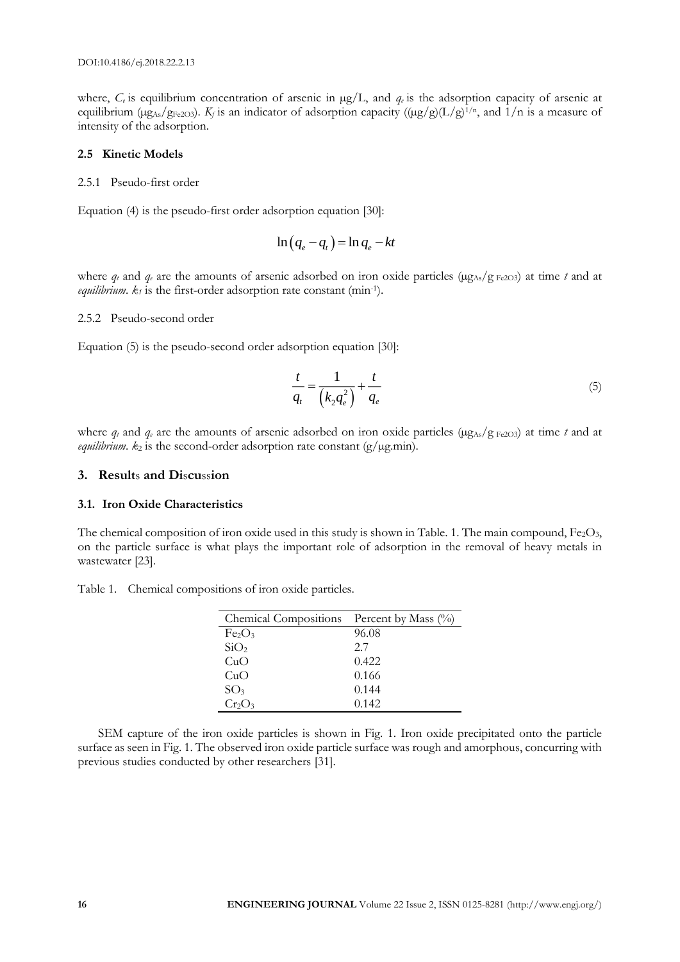where,  $C_e$  is equilibrium concentration of arsenic in  $\mu g/L$ , and  $q_e$  is the adsorption capacity of arsenic at equilibrium ( $\mu g_{\Lambda s}/g_{Fe2O3}$ ). *K<sub>f</sub>* is an indicator of adsorption capacity (( $\mu g/g(L/g)^{1/n}$ , and 1/n is a measure of intensity of the adsorption.

#### **2.5 Kinetic Models**

#### 2.5.1 Pseudo-first order

Equation (4) is the pseudo-first order adsorption equation [30]:

$$
\ln(q_e - q_t) = \ln q_e - kt
$$

where  $q_t$  and  $q_e$  are the amounts of arsenic adsorbed on iron oxide particles ( $\mu g_{As}/g_{Fe2O3}$ ) at time *t* and at equilibrium.  $k_1$  is the first-order adsorption rate constant (min<sup>-1</sup>).

#### 2.5.2 Pseudo-second order

Equation (5) is the pseudo-second order adsorption equation [30]:

$$
\frac{t}{q_t} = \frac{1}{\left(k_2 q_e^2\right)} + \frac{t}{q_e} \tag{5}
$$

where  $q_t$  and  $q_e$  are the amounts of arsenic adsorbed on iron oxide particles ( $\mu$ g<sub>As</sub>/g<sub>Fe2O3</sub>) at time *t* and at *equilibrium.*  $k_2$  is the second-order adsorption rate constant (g/ $\mu$ g.min).

## **3. Result**s **and Di**s**cu**ss**ion**

## **3.1. Iron Oxide Characteristics**

The chemical composition of iron oxide used in this study is shown in Table. 1. The main compound,  $Fe<sub>2</sub>O<sub>3</sub>$ , on the particle surface is what plays the important role of adsorption in the removal of heavy metals in wastewater [23].

| Table 1. | Chemical compositions of iron oxide particles. |  |  |
|----------|------------------------------------------------|--|--|
|          |                                                |  |  |

| Chemical Compositions Percent by Mass (%) |       |
|-------------------------------------------|-------|
| Fe <sub>2</sub> O <sub>3</sub>            | 96.08 |
| SiO <sub>2</sub>                          | 2.7   |
| CuO                                       | 0.422 |
| CuO                                       | 0.166 |
| SO <sub>3</sub>                           | 0.144 |
| $Cr_2O_3$                                 | 0.142 |

SEM capture of the iron oxide particles is shown in Fig. 1. Iron oxide precipitated onto the particle surface as seen in Fig. 1. The observed iron oxide particle surface was rough and amorphous, concurring with previous studies conducted by other researchers [31].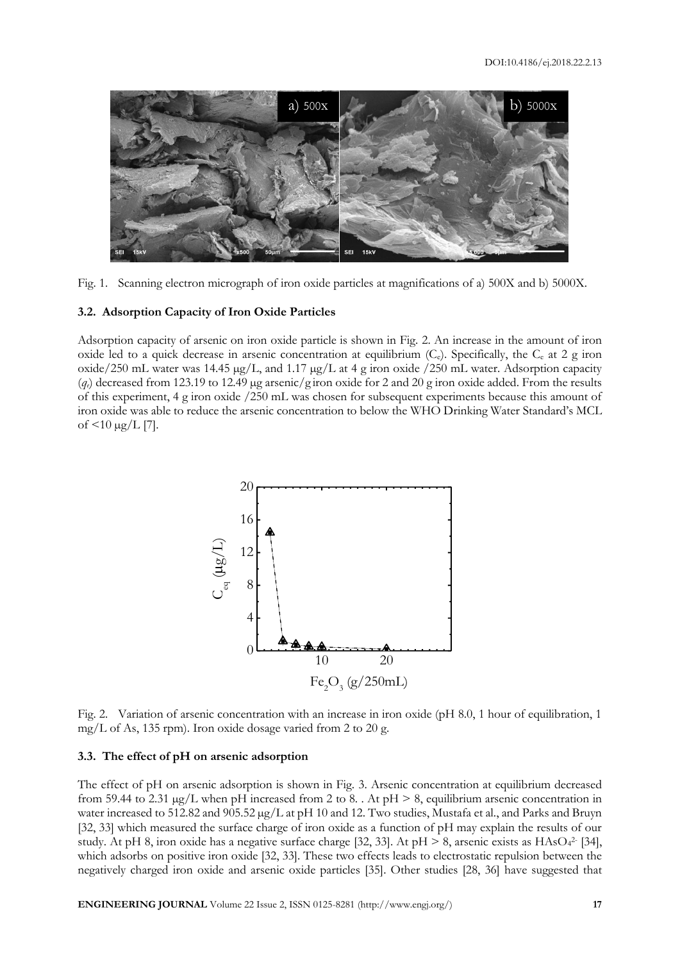

Fig. 1. Scanning electron micrograph of iron oxide particles at magnifications of a) 500X and b) 5000X.

#### **3.2. Adsorption Capacity of Iron Oxide Particles**

Adsorption capacity of arsenic on iron oxide particle is shown in Fig. 2. An increase in the amount of iron oxide led to a quick decrease in arsenic concentration at equilibrium  $(C_e)$ . Specifically, the  $C_e$  at 2 g iron oxide/250 mL water was 14.45  $\mu$ g/L, and 1.17  $\mu$ g/L at 4 g iron oxide /250 mL water. Adsorption capacity (*qe*) decreased from 123.19 to 12.49 µg arsenic/g iron oxide for 2 and 20 g iron oxide added. From the results of this experiment, 4 g iron oxide /250 mL was chosen for subsequent experiments because this amount of iron oxide was able to reduce the arsenic concentration to below the WHO Drinking Water Standard's MCL of  $\leq 10 \mu g/L$  [7].



Fig. 2. Variation of arsenic concentration with an increase in iron oxide (pH 8.0, 1 hour of equilibration, 1 mg/L of As, 135 rpm). Iron oxide dosage varied from 2 to 20 g.

### **3.3. The effect of pH on arsenic adsorption**

The effect of pH on arsenic adsorption is shown in Fig. 3. Arsenic concentration at equilibrium decreased from 59.44 to 2.31  $\mu$ g/L when pH increased from 2 to 8. . At pH > 8, equilibrium arsenic concentration in water increased to 512.82 and 905.52  $\mu$ g/L at pH 10 and 12. Two studies, Mustafa et al., and Parks and Bruyn [32, 33] which measured the surface charge of iron oxide as a function of pH may explain the results of our study. At pH 8, iron oxide has a negative surface charge [32, 33]. At pH > 8, arsenic exists as  $HASO<sub>4</sub><sup>2</sup>$  [34], which adsorbs on positive iron oxide [32, 33]. These two effects leads to electrostatic repulsion between the negatively charged iron oxide and arsenic oxide particles [35]. Other studies [28, 36] have suggested that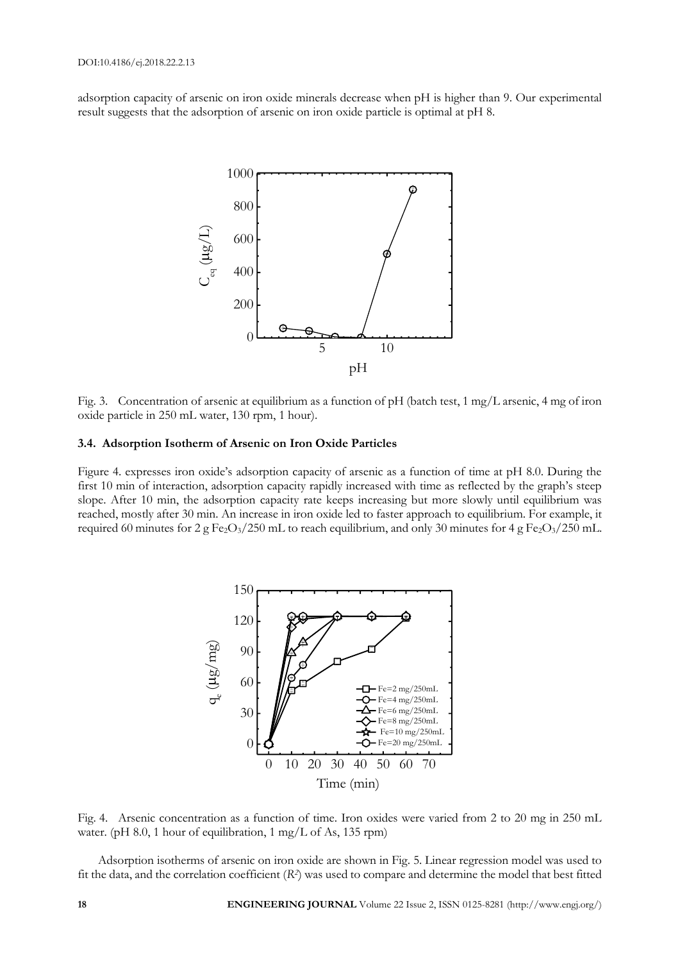adsorption capacity of arsenic on iron oxide minerals decrease when pH is higher than 9. Our experimental result suggests that the adsorption of arsenic on iron oxide particle is optimal at pH 8.



Fig. 3. Concentration of arsenic at equilibrium as a function of pH (batch test, 1 mg/L arsenic, 4 mg of iron oxide particle in 250 mL water, 130 rpm, 1 hour).

# **3.4. Adsorption Isotherm of Arsenic on Iron Oxide Particles**

Figure 4. expresses iron oxide's adsorption capacity of arsenic as a function of time at pH 8.0. During the first 10 min of interaction, adsorption capacity rapidly increased with time as reflected by the graph's steep slope. After 10 min, the adsorption capacity rate keeps increasing but more slowly until equilibrium was reached, mostly after 30 min. An increase in iron oxide led to faster approach to equilibrium. For example, it required 60 minutes for  $2 g Fe<sub>2</sub>O<sub>3</sub>/250$  mL to reach equilibrium, and only 30 minutes for  $4 g Fe<sub>2</sub>O<sub>3</sub>/250$  mL.



Fig. 4. Arsenic concentration as a function of time. Iron oxides were varied from 2 to 20 mg in 250 mL water. (pH 8.0, 1 hour of equilibration, 1 mg/L of As, 135 rpm)

Adsorption isotherms of arsenic on iron oxide are shown in Fig. 5. Linear regression model was used to fit the data, and the correlation coefficient (*R<sup>2</sup>* ) was used to compare and determine the model that best fitted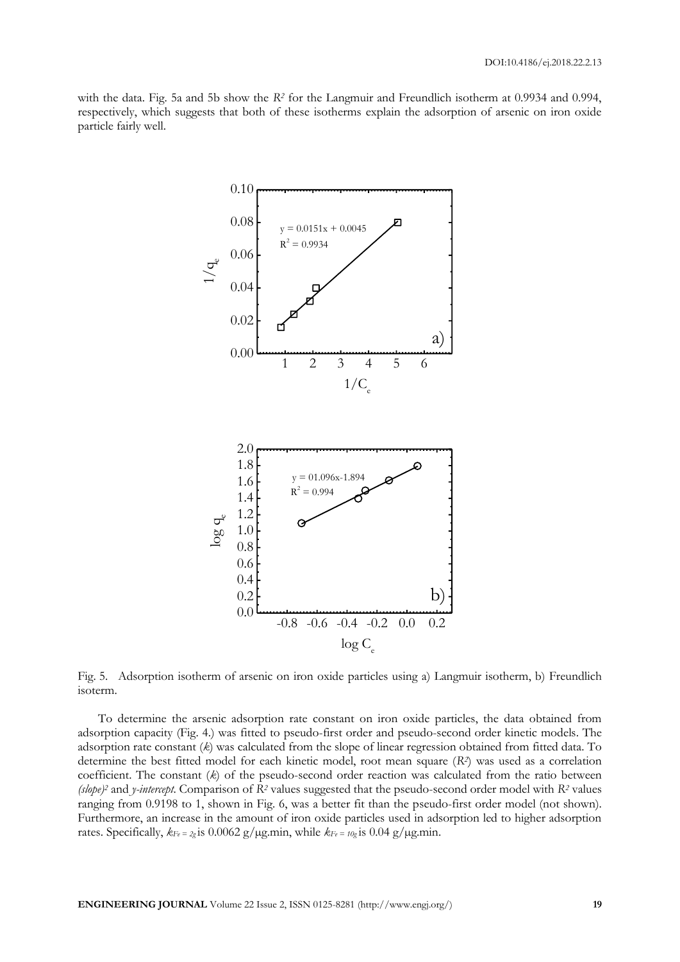with the data. Fig. 5a and 5b show the *R<sup>2</sup>* for the Langmuir and Freundlich isotherm at 0.9934 and 0.994, respectively, which suggests that both of these isotherms explain the adsorption of arsenic on iron oxide particle fairly well.



Fig. 5. Adsorption isotherm of arsenic on iron oxide particles using a) Langmuir isotherm, b) Freundlich isoterm.

To determine the arsenic adsorption rate constant on iron oxide particles, the data obtained from adsorption capacity (Fig. 4.) was fitted to pseudo-first order and pseudo-second order kinetic models. The adsorption rate constant (*k*) was calculated from the slope of linear regression obtained from fitted data. To determine the best fitted model for each kinetic model, root mean square (*R<sup>2</sup>* ) was used as a correlation coefficient. The constant (*k*) of the pseudo-second order reaction was calculated from the ratio between *(slope)<sup>2</sup>* and *y-intercept*. Comparison of *R<sup>2</sup>* values suggested that the pseudo-second order model with *R<sup>2</sup>* values ranging from 0.9198 to 1, shown in Fig. 6, was a better fit than the pseudo-first order model (not shown). Furthermore, an increase in the amount of iron oxide particles used in adsorption led to higher adsorption rates. Specifically,  $k_{Fe} = 2g \text{ is } 0.0062 \text{ g}/\mu\text{g}$  min, while  $k_{Fe} = 10g \text{ is } 0.04 \text{ g}/\mu\text{g}$  min.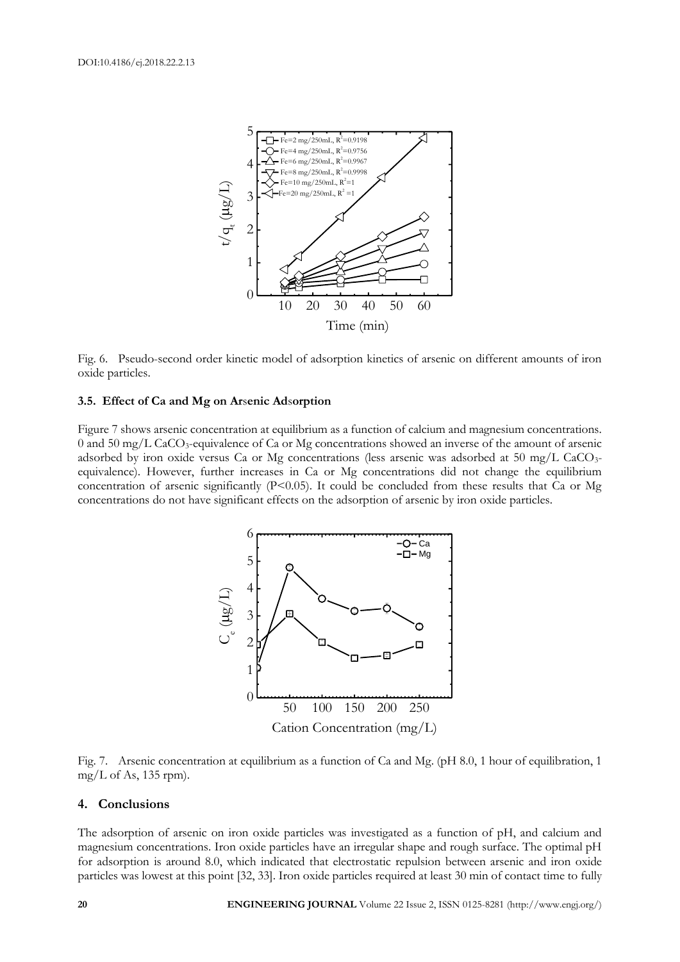

Fig. 6. Pseudo-second order kinetic model of adsorption kinetics of arsenic on different amounts of iron oxide particles.

# **3.5. Effect of Ca and Mg on Ar**s**enic Ad**s**orption**

Figure 7 shows arsenic concentration at equilibrium as a function of calcium and magnesium concentrations. 0 and 50 mg/L CaCO3-equivalence of Ca or Mg concentrations showed an inverse of the amount of arsenic adsorbed by iron oxide versus Ca or Mg concentrations (less arsenic was adsorbed at 50 mg/L CaCO<sub>3</sub>equivalence). However, further increases in Ca or Mg concentrations did not change the equilibrium concentration of arsenic significantly (P<0.05). It could be concluded from these results that Ca or Mg concentrations do not have significant effects on the adsorption of arsenic by iron oxide particles.



Fig. 7. Arsenic concentration at equilibrium as a function of Ca and Mg. (pH 8.0, 1 hour of equilibration, 1 mg/L of As,  $135$  rpm).

# **4. Conclusions**

The adsorption of arsenic on iron oxide particles was investigated as a function of pH, and calcium and magnesium concentrations. Iron oxide particles have an irregular shape and rough surface. The optimal pH for adsorption is around 8.0, which indicated that electrostatic repulsion between arsenic and iron oxide particles was lowest at this point [32, 33]. Iron oxide particles required at least 30 min of contact time to fully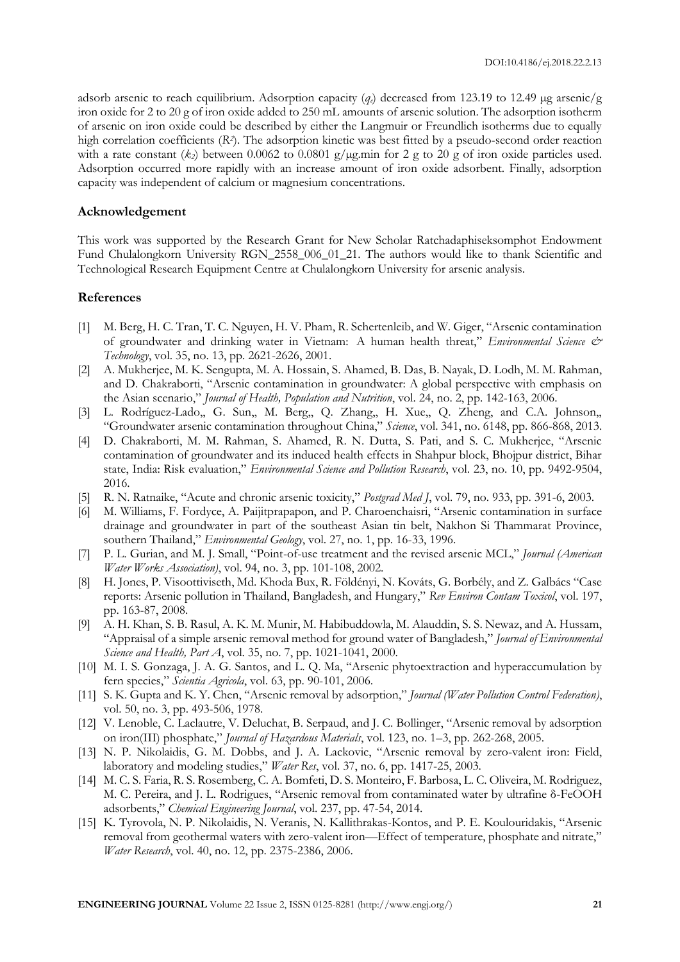adsorb arsenic to reach equilibrium. Adsorption capacity  $(q_e)$  decreased from 123.19 to 12.49 µg arsenic/g iron oxide for 2 to 20 g of iron oxide added to 250 mL amounts of arsenic solution. The adsorption isotherm of arsenic on iron oxide could be described by either the Langmuir or Freundlich isotherms due to equally high correlation coefficients (*R<sup>2</sup>* ). The adsorption kinetic was best fitted by a pseudo-second order reaction with a rate constant  $(k_2)$  between 0.0062 to 0.0801 g/ $\mu$ g.min for 2 g to 20 g of iron oxide particles used. Adsorption occurred more rapidly with an increase amount of iron oxide adsorbent. Finally, adsorption capacity was independent of calcium or magnesium concentrations.

## **Acknowledgement**

This work was supported by the Research Grant for New Scholar Ratchadaphiseksomphot Endowment Fund Chulalongkorn University RGN\_2558\_006\_01\_21. The authors would like to thank Scientific and Technological Research Equipment Centre at Chulalongkorn University for arsenic analysis.

# **References**

- [1] M. Berg, H. C. Tran, T. C. Nguyen, H. V. Pham, R. Schertenleib, and W. Giger, "Arsenic contamination of groundwater and drinking water in Vietnam: A human health threat," *Environmental Science & Technology*, vol. 35, no. 13, pp. 2621-2626, 2001.
- [2] A. Mukherjee, M. K. Sengupta, M. A. Hossain, S. Ahamed, B. Das, B. Nayak, D. Lodh, M. M. Rahman, and D. Chakraborti, "Arsenic contamination in groundwater: A global perspective with emphasis on the Asian scenario," *Journal of Health, Population and Nutrition*, vol. 24, no. 2, pp. 142-163, 2006.
- [3] L. Rodríguez-Lado,, G. Sun,, M. Berg,, Q. Zhang,, H. Xue,, Q. Zheng, and C.A. Johnson,, "Groundwater arsenic contamination throughout China," *Science*, vol. 341, no. 6148, pp. 866-868, 2013.
- [4] D. Chakraborti, M. M. Rahman, S. Ahamed, R. N. Dutta, S. Pati, and S. C. Mukherjee, "Arsenic contamination of groundwater and its induced health effects in Shahpur block, Bhojpur district, Bihar state, India: Risk evaluation," *Environmental Science and Pollution Research*, vol. 23, no. 10, pp. 9492-9504, 2016.
- [5] R. N. Ratnaike, "Acute and chronic arsenic toxicity," *Postgrad Med J*, vol. 79, no. 933, pp. 391-6, 2003.
- [6] M. Williams, F. Fordyce, A. Paijitprapapon, and P. Charoenchaisri, "Arsenic contamination in surface drainage and groundwater in part of the southeast Asian tin belt, Nakhon Si Thammarat Province, southern Thailand," *Environmental Geology*, vol. 27, no. 1, pp. 16-33, 1996.
- [7] P. L. Gurian, and M. J. Small, "Point-of-use treatment and the revised arsenic MCL," *Journal (American Water Works Association)*, vol. 94, no. 3, pp. 101-108, 2002.
- [8] H. Jones, P. Visoottiviseth, Md. Khoda Bux, R. Földényi, N. Kováts, G. Borbély, and Z. Galbács "Case reports: Arsenic pollution in Thailand, Bangladesh, and Hungary," *Rev Environ Contam Toxicol*, vol. 197, pp. 163-87, 2008.
- [9] A. H. Khan, S. B. Rasul, A. K. M. Munir, M. Habibuddowla, M. Alauddin, S. S. Newaz, and A. Hussam, "Appraisal of a simple arsenic removal method for ground water of Bangladesh," *Journal of Environmental Science and Health, Part A*, vol. 35, no. 7, pp. 1021-1041, 2000.
- [10] M. I. S. Gonzaga, J. A. G. Santos, and L. Q. Ma, "Arsenic phytoextraction and hyperaccumulation by fern species," *Scientia Agricola*, vol. 63, pp. 90-101, 2006.
- [11] S. K. Gupta and K. Y. Chen, "Arsenic removal by adsorption," *Journal (Water Pollution Control Federation)*, vol. 50, no. 3, pp. 493-506, 1978.
- [12] V. Lenoble, C. Laclautre, V. Deluchat, B. Serpaud, and J. C. Bollinger, "Arsenic removal by adsorption on iron(III) phosphate," *Journal of Hazardous Materials*, vol. 123, no. 1–3, pp. 262-268, 2005.
- [13] N. P. Nikolaidis, G. M. Dobbs, and J. A. Lackovic, "Arsenic removal by zero-valent iron: Field, laboratory and modeling studies," *Water Res*, vol. 37, no. 6, pp. 1417-25, 2003.
- [14] M. C. S. Faria, R. S. Rosemberg, C. A. Bomfeti, D. S. Monteiro, F. Barbosa, L. C. Oliveira, M. Rodriguez, M. C. Pereira, and J. L. Rodrigues, "Arsenic removal from contaminated water by ultrafine δ-FeOOH adsorbents," *Chemical Engineering Journal*, vol. 237, pp. 47-54, 2014.
- [15] K. Tyrovola, N. P. Nikolaidis, N. Veranis, N. Kallithrakas-Kontos, and P. E. Koulouridakis, "Arsenic removal from geothermal waters with zero-valent iron—Effect of temperature, phosphate and nitrate," *Water Research*, vol. 40, no. 12, pp. 2375-2386, 2006.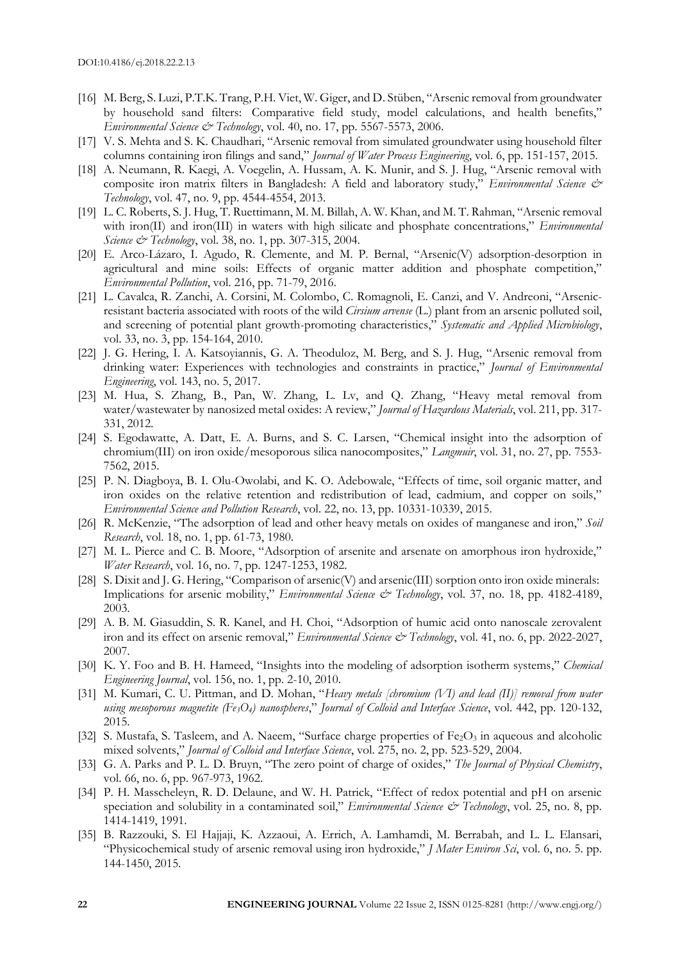- [16] M. Berg, S. Luzi, P.T.K. Trang, P.H. Viet, W. Giger, and D. Stüben, "Arsenic removal from groundwater by household sand filters: Comparative field study, model calculations, and health benefits," *Environmental Science & Technology*, vol. 40, no. 17, pp. 5567-5573, 2006.
- [17] V. S. Mehta and S. K. Chaudhari, "Arsenic removal from simulated groundwater using household filter columns containing iron filings and sand," *Journal of Water Process Engineering*, vol. 6, pp. 151-157, 2015.
- [18] A. Neumann, R. Kaegi, A. Voegelin, A. Hussam, A. K. Munir, and S. J. Hug, "Arsenic removal with composite iron matrix filters in Bangladesh: A field and laboratory study," *Environmental Science & Technology*, vol. 47, no. 9, pp. 4544-4554, 2013.
- [19] L. C. Roberts, S. J. Hug, T. Ruettimann, M. M. Billah, A. W. Khan, and M. T. Rahman, "Arsenic removal with iron(II) and iron(III) in waters with high silicate and phosphate concentrations," *Environmental Science & Technology*, vol. 38, no. 1, pp. 307-315, 2004.
- [20] E. Arco-Lázaro, I. Agudo, R. Clemente, and M. P. Bernal, "Arsenic(V) adsorption-desorption in agricultural and mine soils: Effects of organic matter addition and phosphate competition," *Environmental Pollution*, vol. 216, pp. 71-79, 2016.
- [21] L. Cavalca, R. Zanchi, A. Corsini, M. Colombo, C. Romagnoli, E. Canzi, and V. Andreoni, "Arsenicresistant bacteria associated with roots of the wild *Cirsium arvense* (L.) plant from an arsenic polluted soil, and screening of potential plant growth-promoting characteristics," *Systematic and Applied Microbiology*, vol. 33, no. 3, pp. 154-164, 2010.
- [22] J. G. Hering, I. A. Katsoyiannis, G. A. Theoduloz, M. Berg, and S. J. Hug, "Arsenic removal from drinking water: Experiences with technologies and constraints in practice," *Journal of Environmental Engineering*, vol. 143, no. 5, 2017.
- [23] M. Hua, S. Zhang, B., Pan, W. Zhang, L. Lv, and Q. Zhang, "Heavy metal removal from water/wastewater by nanosized metal oxides: A review," *Journal of Hazardous Materials*, vol. 211, pp. 317- 331, 2012.
- [24] S. Egodawatte, A. Datt, E. A. Burns, and S. C. Larsen, "Chemical insight into the adsorption of chromium(III) on iron oxide/mesoporous silica nanocomposites," *Langmuir*, vol. 31, no. 27, pp. 7553- 7562, 2015.
- [25] P. N. Diagboya, B. I. Olu-Owolabi, and K. O. Adebowale, "Effects of time, soil organic matter, and iron oxides on the relative retention and redistribution of lead, cadmium, and copper on soils," *Environmental Science and Pollution Research*, vol. 22, no. 13, pp. 10331-10339, 2015.
- [26] R. McKenzie, "The adsorption of lead and other heavy metals on oxides of manganese and iron," *Soil Research*, vol. 18, no. 1, pp. 61-73, 1980.
- [27] M. L. Pierce and C. B. Moore, "Adsorption of arsenite and arsenate on amorphous iron hydroxide," *Water Research*, vol. 16, no. 7, pp. 1247-1253, 1982.
- [28] S. Dixit and J. G. Hering, "Comparison of arsenic(V) and arsenic(III) sorption onto iron oxide minerals: Implications for arsenic mobility," *Environmental Science & Technology*, vol. 37, no. 18, pp. 4182-4189, 2003.
- [29] A. B. M. Giasuddin, S. R. Kanel, and H. Choi, "Adsorption of humic acid onto nanoscale zerovalent iron and its effect on arsenic removal," *Environmental Science & Technology*, vol. 41, no. 6, pp. 2022-2027, 2007.
- [30] K. Y. Foo and B. H. Hameed, "Insights into the modeling of adsorption isotherm systems," *Chemical Engineering Journal*, vol. 156, no. 1, pp. 2-10, 2010.
- [31] M. Kumari, C. U. Pittman, and D. Mohan, "*Heavy metals [chromium (VI) and lead (II)] removal from water using mesoporous magnetite (Fe3O4) nanospheres*," *Journal of Colloid and Interface Science*, vol. 442, pp. 120-132, 2015.
- [32] S. Mustafa, S. Tasleem, and A. Naeem, "Surface charge properties of  $Fe<sub>2</sub>O<sub>3</sub>$  in aqueous and alcoholic mixed solvents," *Journal of Colloid and Interface Science*, vol. 275, no. 2, pp. 523-529, 2004.
- [33] G. A. Parks and P. L. D. Bruyn, "The zero point of charge of oxides," *The Journal of Physical Chemistry*, vol. 66, no. 6, pp. 967-973, 1962.
- [34] P. H. Masscheleyn, R. D. Delaune, and W. H. Patrick, "Effect of redox potential and pH on arsenic speciation and solubility in a contaminated soil," *Environmental Science & Technology*, vol. 25, no. 8, pp. 1414-1419, 1991.
- [35] B. Razzouki, S. El Hajjaji, K. Azzaoui, A. Errich, A. Lamhamdi, M. Berrabah, and L. L. Elansari, "Physicochemical study of arsenic removal using iron hydroxide," *J Mater Environ Sci*, vol. 6, no. 5. pp. 144-1450, 2015.